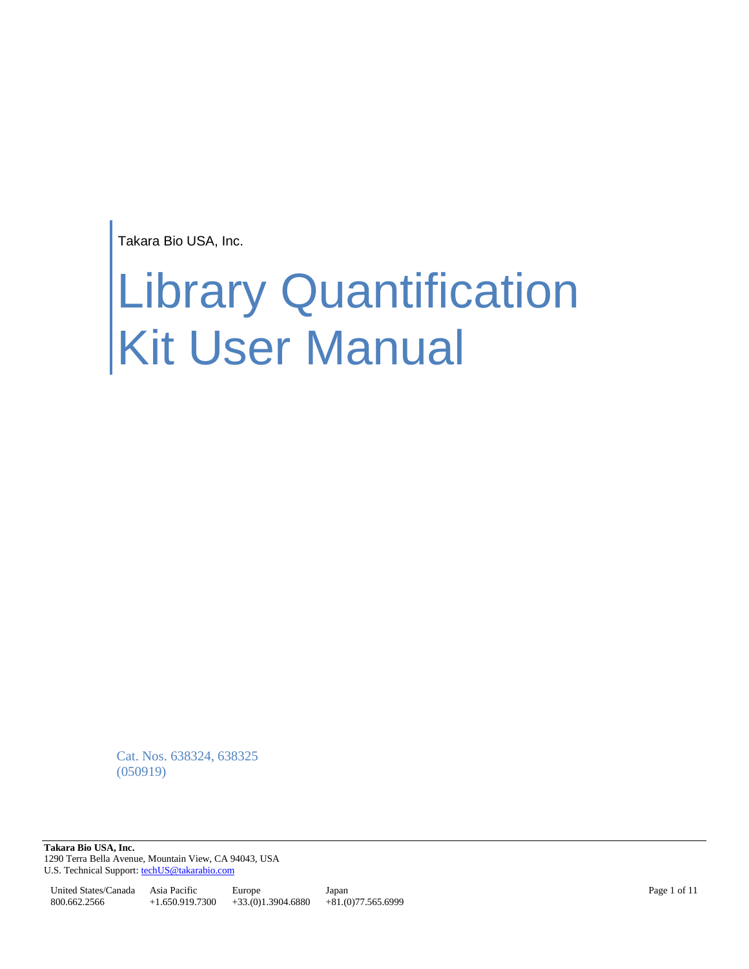Takara Bio USA, Inc.

# Library Quantification Kit User Manual

Cat. Nos. 638324, 638325 (050919)

**Takara Bio USA, Inc.**  1290 Terra Bella Avenue, Mountain View, CA 94043, USA U.S. Technical Support[: techUS@takarabio.com](mailto:techUS@takarabio.com)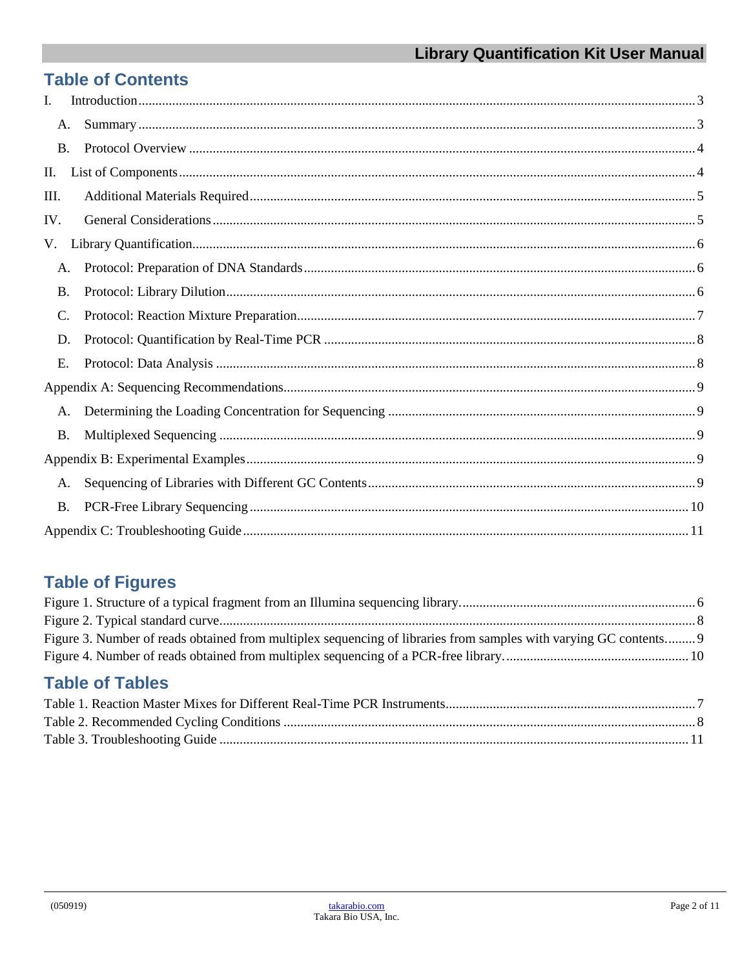# **Table of Contents**

| L.        |           |  |
|-----------|-----------|--|
| A.        |           |  |
| <b>B.</b> |           |  |
| П.        |           |  |
| Ш.        |           |  |
| IV.       |           |  |
| V.        |           |  |
| A.        |           |  |
| <b>B.</b> |           |  |
| C.        |           |  |
| D.        |           |  |
| E.        |           |  |
|           |           |  |
| A.        |           |  |
|           | <b>B.</b> |  |
|           |           |  |
| A.        |           |  |
| <b>B.</b> |           |  |
|           |           |  |

# **Table of Figures**

| Figure 3. Number of reads obtained from multiplex sequencing of libraries from samples with varying GC contents 9 |  |
|-------------------------------------------------------------------------------------------------------------------|--|
|                                                                                                                   |  |
|                                                                                                                   |  |
| <b>Table of Tables</b>                                                                                            |  |
|                                                                                                                   |  |
|                                                                                                                   |  |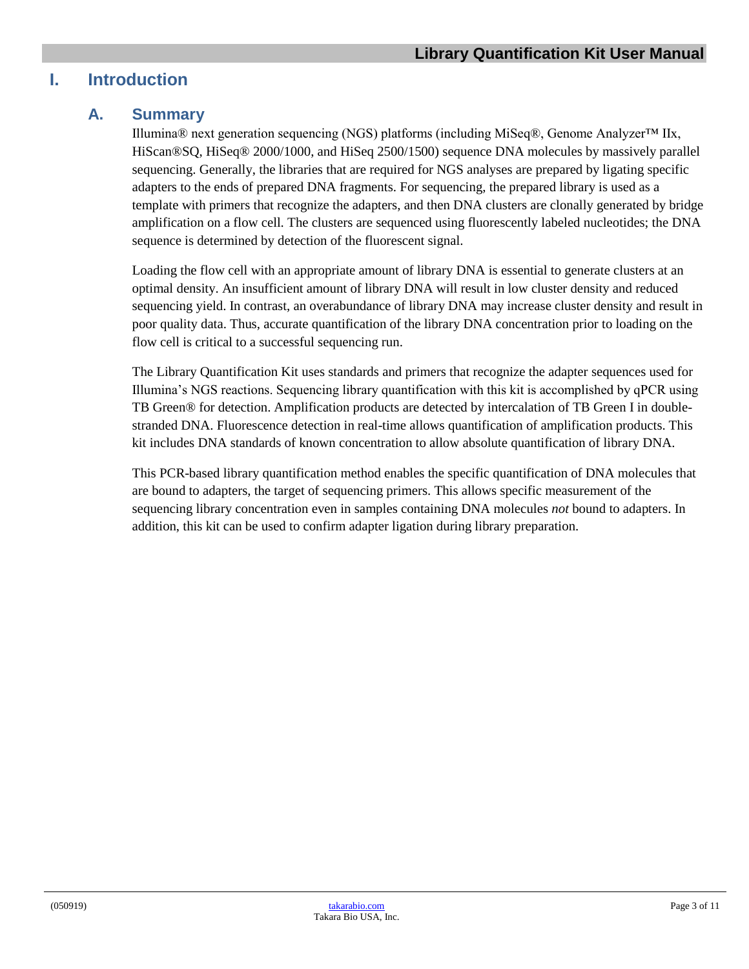# <span id="page-2-1"></span><span id="page-2-0"></span>**I. Introduction**

#### **A. Summary**

Illumina® next generation sequencing (NGS) platforms (including MiSeq®, Genome Analyzer™ IIx, HiScan®SQ, HiSeq® 2000/1000, and HiSeq 2500/1500) sequence DNA molecules by massively parallel sequencing. Generally, the libraries that are required for NGS analyses are prepared by ligating specific adapters to the ends of prepared DNA fragments. For sequencing, the prepared library is used as a template with primers that recognize the adapters, and then DNA clusters are clonally generated by bridge amplification on a flow cell. The clusters are sequenced using fluorescently labeled nucleotides; the DNA sequence is determined by detection of the fluorescent signal.

Loading the flow cell with an appropriate amount of library DNA is essential to generate clusters at an optimal density. An insufficient amount of library DNA will result in low cluster density and reduced sequencing yield. In contrast, an overabundance of library DNA may increase cluster density and result in poor quality data. Thus, accurate quantification of the library DNA concentration prior to loading on the flow cell is critical to a successful sequencing run.

The Library Quantification Kit uses standards and primers that recognize the adapter sequences used for Illumina's NGS reactions. Sequencing library quantification with this kit is accomplished by qPCR using TB Green® for detection. Amplification products are detected by intercalation of TB Green I in doublestranded DNA. Fluorescence detection in real-time allows quantification of amplification products. This kit includes DNA standards of known concentration to allow absolute quantification of library DNA.

This PCR-based library quantification method enables the specific quantification of DNA molecules that are bound to adapters, the target of sequencing primers. This allows specific measurement of the sequencing library concentration even in samples containing DNA molecules *not* bound to adapters. In addition, this kit can be used to confirm adapter ligation during library preparation.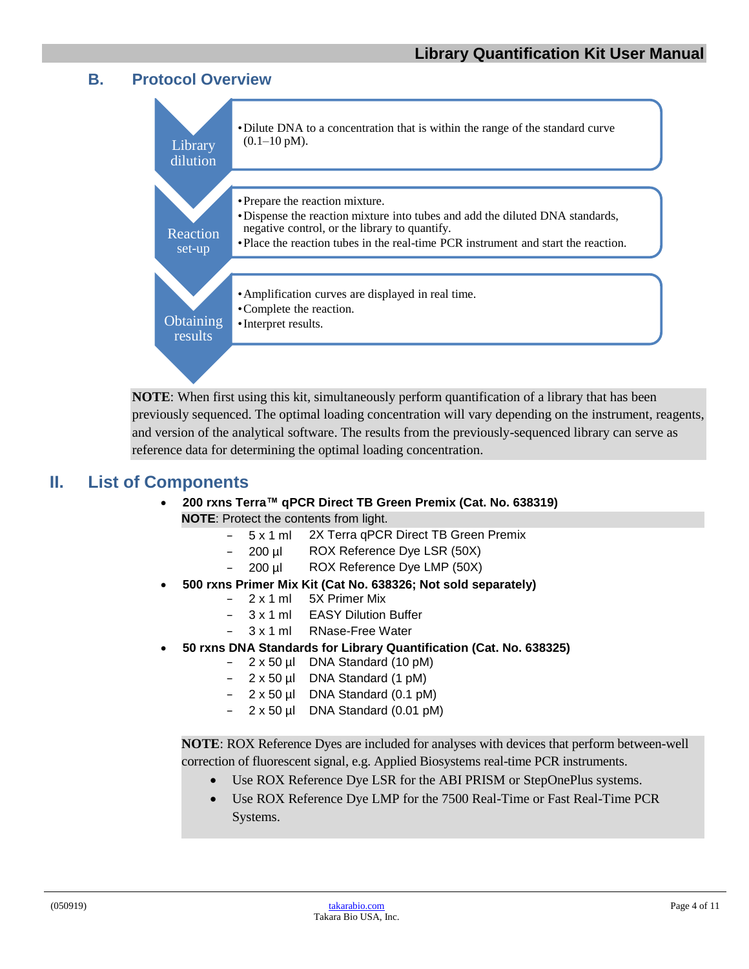#### <span id="page-3-0"></span>**B. Protocol Overview**



**NOTE**: When first using this kit, simultaneously perform quantification of a library that has been previously sequenced. The optimal loading concentration will vary depending on the instrument, reagents, and version of the analytical software. The results from the previously-sequenced library can serve as reference data for determining the optimal loading concentration.

#### <span id="page-3-1"></span>**II. List of Components**

#### • **200 rxns Terra™ qPCR Direct TB Green Premix (Cat. No. 638319)**

- **NOTE:** Protect the contents from light.
	- − 5 x 1 ml 2X Terra qPCR Direct TB Green Premix
	- − 200 µl ROX Reference Dye LSR (50X)
	- − 200 µl ROX Reference Dye LMP (50X)
- **500 rxns Primer Mix Kit (Cat No. 638326; Not sold separately)**
	- 2 x 1 ml 5X Primer Mix
	- 3 x 1 ml EASY Dilution Buffer
	- − 3 x 1 ml RNase-Free Water
- **50 rxns DNA Standards for Library Quantification (Cat. No. 638325)**
	- − 2 x 50 µl DNA Standard (10 pM)
	- − 2 x 50 µl DNA Standard (1 pM)
	- − 2 x 50 µl DNA Standard (0.1 pM)
	- − 2 x 50 µl DNA Standard (0.01 pM)

**NOTE**: ROX Reference Dyes are included for analyses with devices that perform between-well correction of fluorescent signal, e.g. Applied Biosystems real-time PCR instruments.

- Use ROX Reference Dye LSR for the ABI PRISM or StepOnePlus systems.
- Use ROX Reference Dye LMP for the 7500 Real-Time or Fast Real-Time PCR Systems.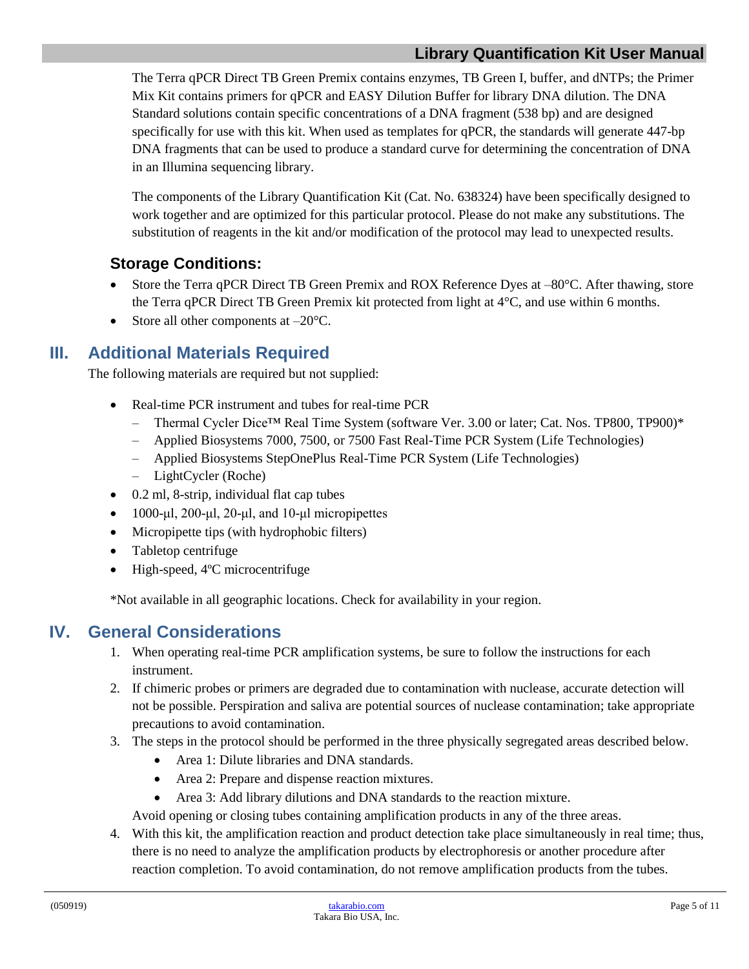#### **Library Quantification Kit User Manual**

The Terra qPCR Direct TB Green Premix contains enzymes, TB Green I, buffer, and dNTPs; the Primer Mix Kit contains primers for qPCR and EASY Dilution Buffer for library DNA dilution. The DNA Standard solutions contain specific concentrations of a DNA fragment (538 bp) and are designed specifically for use with this kit. When used as templates for qPCR, the standards will generate 447-bp DNA fragments that can be used to produce a standard curve for determining the concentration of DNA in an Illumina sequencing library.

The components of the Library Quantification Kit (Cat. No. 638324) have been specifically designed to work together and are optimized for this particular protocol. Please do not make any substitutions. The substitution of reagents in the kit and/or modification of the protocol may lead to unexpected results.

#### **Storage Conditions:**

- Store the Terra qPCR Direct TB Green Premix and ROX Reference Dyes at  $-80^{\circ}$ C. After thawing, store the Terra qPCR Direct TB Green Premix kit protected from light at 4°C, and use within 6 months.
- Store all other components at  $-20^{\circ}$ C.

## <span id="page-4-0"></span>**III. Additional Materials Required**

The following materials are required but not supplied:

- Real-time PCR instrument and tubes for real-time PCR
	- Thermal Cycler Dice™ Real Time System (software Ver. 3.00 or later; Cat. Nos. TP800, TP900)\*
	- Applied Biosystems 7000, 7500, or 7500 Fast Real-Time PCR System (Life Technologies)
	- Applied Biosystems StepOnePlus Real-Time PCR System (Life Technologies)
	- LightCycler (Roche)
- 0.2 ml, 8-strip, individual flat cap tubes
- $\bullet$  1000-μl, 200-μl, 20-μl, and 10-μl micropipettes
- Micropipette tips (with hydrophobic filters)
- Tabletop centrifuge
- High-speed, 4°C microcentrifuge

\*Not available in all geographic locations. Check for availability in your region.

## <span id="page-4-1"></span>**IV. General Considerations**

- 1. When operating real-time PCR amplification systems, be sure to follow the instructions for each instrument.
- 2. If chimeric probes or primers are degraded due to contamination with nuclease, accurate detection will not be possible. Perspiration and saliva are potential sources of nuclease contamination; take appropriate precautions to avoid contamination.
- 3. The steps in the protocol should be performed in the three physically segregated areas described below.
	- Area 1: Dilute libraries and DNA standards.
	- Area 2: Prepare and dispense reaction mixtures.
	- Area 3: Add library dilutions and DNA standards to the reaction mixture.

Avoid opening or closing tubes containing amplification products in any of the three areas.

4. With this kit, the amplification reaction and product detection take place simultaneously in real time; thus, there is no need to analyze the amplification products by electrophoresis or another procedure after reaction completion. To avoid contamination, do not remove amplification products from the tubes.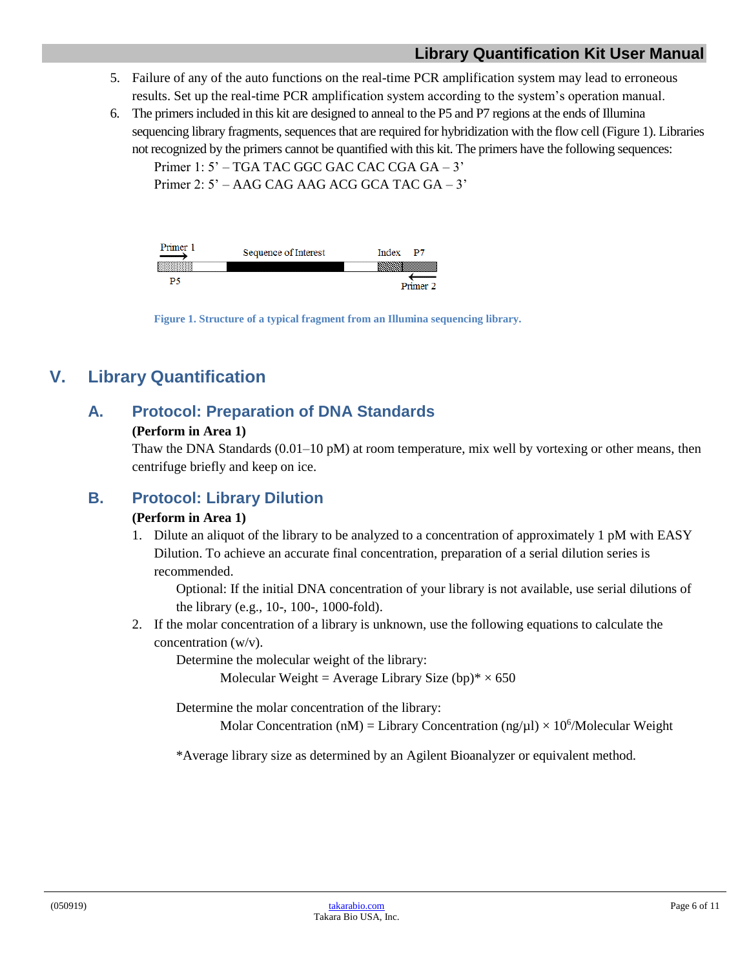#### **Library Quantification Kit User Manual**

- 5. Failure of any of the auto functions on the real-time PCR amplification system may lead to erroneous results. Set up the real-time PCR amplification system according to the system's operation manual.
- 6. The primers included in this kit are designed to anneal to the P5 and P7 regions at the ends of Illumina sequencing library fragments, sequences that are required for hybridization with the flow cell (Figure 1). Libraries not recognized by the primers cannot be quantified with this kit. The primers have the following sequences:

Primer 1: 5' – TGA TAC GGC GAC CAC CGA GA – 3'

Primer 2: 5' – AAG CAG AAG ACG GCA TAC GA – 3'

| rimer | Sequence of Interest | Index  |
|-------|----------------------|--------|
|       |                      |        |
|       |                      |        |
|       |                      | drimer |

**Figure 1. Structure of a typical fragment from an Illumina sequencing library.**

# <span id="page-5-3"></span><span id="page-5-1"></span><span id="page-5-0"></span>**V. Library Quantification**

## **A. Protocol: Preparation of DNA Standards**

#### **(Perform in Area 1)**

Thaw the DNA Standards  $(0.01-10 \text{ pM})$  at room temperature, mix well by vortexing or other means, then centrifuge briefly and keep on ice.

#### <span id="page-5-2"></span>**B. Protocol: Library Dilution**

#### **(Perform in Area 1)**

1. Dilute an aliquot of the library to be analyzed to a concentration of approximately 1 pM with EASY Dilution. To achieve an accurate final concentration, preparation of a serial dilution series is recommended.

Optional: If the initial DNA concentration of your library is not available, use serial dilutions of the library (e.g., 10-, 100-, 1000-fold).

2. If the molar concentration of a library is unknown, use the following equations to calculate the concentration (w/v).

Determine the molecular weight of the library:

Molecular Weight = Average Library Size (bp) $* \times 650$ 

Determine the molar concentration of the library:

Molar Concentration (nM) = Library Concentration (ng/ $\mu$ l) × 10<sup>6</sup>/Molecular Weight

\*Average library size as determined by an Agilent Bioanalyzer or equivalent method.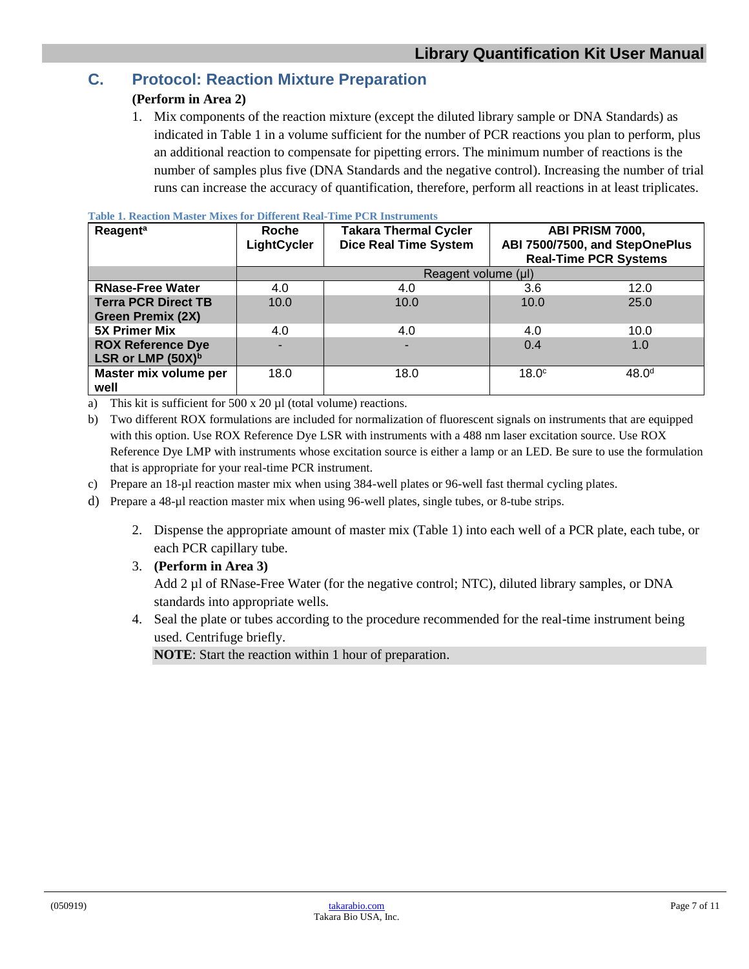## <span id="page-6-0"></span>**C. Protocol: Reaction Mixture Preparation**

#### **(Perform in Area 2)**

1. Mix components of the reaction mixture (except the diluted library sample or DNA Standards) as indicated in Table 1 in a volume sufficient for the number of PCR reactions you plan to perform, plus an additional reaction to compensate for pipetting errors. The minimum number of reactions is the number of samples plus five (DNA Standards and the negative control). Increasing the number of trial runs can increase the accuracy of quantification, therefore, perform all reactions in at least triplicates.

| <b>Reagent<sup>a</sup></b>    | Roche<br>LightCycler | <b>Takara Thermal Cycler</b><br><b>Dice Real Time System</b> |                   | ABI PRISM 7000,<br>ABI 7500/7500, and StepOnePlus<br><b>Real-Time PCR Systems</b> |
|-------------------------------|----------------------|--------------------------------------------------------------|-------------------|-----------------------------------------------------------------------------------|
|                               | Reagent volume (µl)  |                                                              |                   |                                                                                   |
| <b>RNase-Free Water</b>       | 4.0                  | 4.0                                                          | 3.6               | 12.0                                                                              |
| Terra PCR Direct TB           | 10.0                 | 10.0                                                         | 10.0              | 25.0                                                                              |
| <b>Green Premix (2X)</b>      |                      |                                                              |                   |                                                                                   |
| <b>5X Primer Mix</b>          | 4.0                  | 4.0                                                          | 4.0               | 10.0                                                                              |
| <b>ROX Reference Dye</b>      |                      |                                                              | 0.4               | 1.0                                                                               |
| LSR or LMP (50X) <sup>b</sup> |                      |                                                              |                   |                                                                                   |
| Master mix volume per         | 18.0                 | 18.0                                                         | 18.0 <sup>c</sup> | 48.0 <sup>d</sup>                                                                 |
| well                          |                      |                                                              |                   |                                                                                   |

<span id="page-6-1"></span>**Table 1. Reaction Master Mixes for Different Real-Time PCR Instruments**

a) This kit is sufficient for  $500 \times 20 \mu l$  (total volume) reactions.

b) Two different ROX formulations are included for normalization of fluorescent signals on instruments that are equipped with this option. Use ROX Reference Dye LSR with instruments with a 488 nm laser excitation source. Use ROX Reference Dye LMP with instruments whose excitation source is either a lamp or an LED. Be sure to use the formulation that is appropriate for your real-time PCR instrument.

- c) Prepare an 18-µl reaction master mix when using 384-well plates or 96-well fast thermal cycling plates.
- d) Prepare a 48-µl reaction master mix when using 96-well plates, single tubes, or 8-tube strips.
	- 2. Dispense the appropriate amount of master mix (Table 1) into each well of a PCR plate, each tube, or each PCR capillary tube.
	- 3. **(Perform in Area 3)**

Add 2 µl of RNase-Free Water (for the negative control; NTC), diluted library samples, or DNA standards into appropriate wells.

4. Seal the plate or tubes according to the procedure recommended for the real-time instrument being used. Centrifuge briefly.

**NOTE**: Start the reaction within 1 hour of preparation.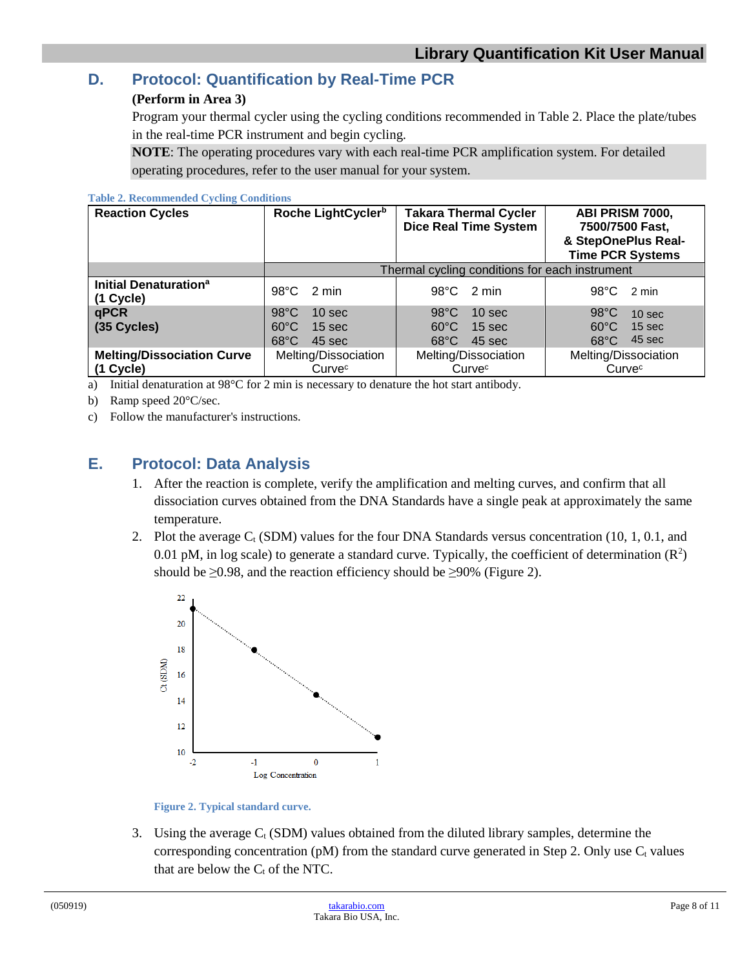#### <span id="page-7-0"></span>**D. Protocol: Quantification by Real-Time PCR**

#### **(Perform in Area 3)**

Program your thermal cycler using the cycling conditions recommended in Table 2. Place the plate/tubes in the real-time PCR instrument and begin cycling.

**NOTE**: The operating procedures vary with each real-time PCR amplification system. For detailed operating procedures, refer to the user manual for your system.

#### <span id="page-7-3"></span>**Table 2. Recommended Cycling Conditions**

| <b>Reaction Cycles</b>                         | Roche LightCycler <sup>b</sup>                                                     | <b>Takara Thermal Cycler</b><br><b>Dice Real Time System</b>                                           | ABI PRISM 7000,<br>7500/7500 Fast,<br>& StepOnePlus Real-<br><b>Time PCR Systems</b>                   |
|------------------------------------------------|------------------------------------------------------------------------------------|--------------------------------------------------------------------------------------------------------|--------------------------------------------------------------------------------------------------------|
|                                                |                                                                                    | Thermal cycling conditions for each instrument                                                         |                                                                                                        |
| Initial Denaturation <sup>a</sup><br>(1 Cycle) | $98^{\circ}$ C<br>2 min                                                            | $98^{\circ}$ C 2 min                                                                                   | $98^{\circ}$ C 2 min                                                                                   |
| qPCR<br>(35 Cycles)                            | $98^{\circ}$ C<br>10 sec<br>$60^{\circ}$ C<br>$15$ sec<br>$68^{\circ}$ C<br>45 sec | $98^{\circ}$ C<br>10 <sub>sec</sub><br>$60^{\circ}$ C<br>15 <sub>sec</sub><br>$68^{\circ}$ C<br>45 sec | $98^{\circ}$ C<br>10 <sub>sec</sub><br>$60^{\circ}$ C<br>15 <sub>sec</sub><br>45 sec<br>$68^{\circ}$ C |
| <b>Melting/Dissociation Curve</b><br>(1 Cycle) | Melting/Dissociation<br>Curvec                                                     | Melting/Dissociation<br>Curvec                                                                         | Melting/Dissociation<br>Curvec                                                                         |

a) Initial denaturation at 98°C for 2 min is necessary to denature the hot start antibody.

b) Ramp speed 20°C/sec.

c) Follow the manufacturer's instructions.

#### <span id="page-7-1"></span>**E. Protocol: Data Analysis**

- 1. After the reaction is complete, verify the amplification and melting curves, and confirm that all dissociation curves obtained from the DNA Standards have a single peak at approximately the same temperature.
- 2. Plot the average  $C_t$  (SDM) values for the four DNA Standards versus concentration (10, 1, 0.1, and 0.01 pM, in log scale) to generate a standard curve. Typically, the coefficient of determination  $(R^2)$ should be  $\geq 0.98$ , and the reaction efficiency should be  $\geq 90\%$  (Figure 2).



**Figure 2. Typical standard curve.**

<span id="page-7-2"></span>3. Using the average  $C_t$  (SDM) values obtained from the diluted library samples, determine the corresponding concentration (pM) from the standard curve generated in Step 2. Only use  $C_t$  values that are below the  $C_t$  of the NTC.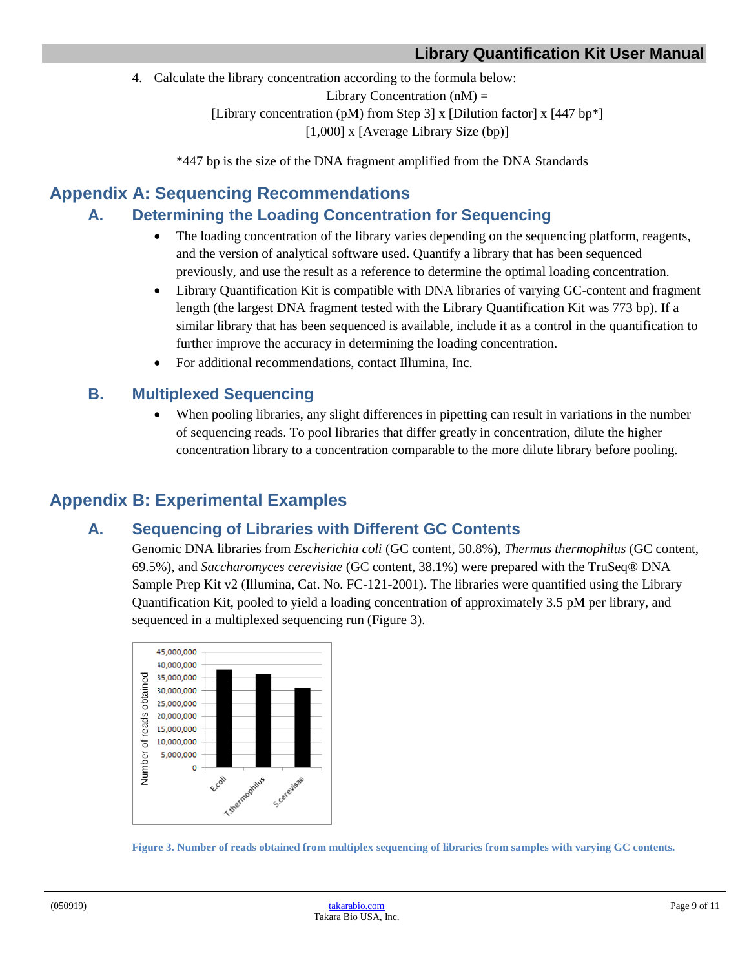4. Calculate the library concentration according to the formula below:

Library Concentration  $(nM)$  =

[Library concentration (pM) from Step 3] x [Dilution factor] x [447 bp\*]

[1,000] x [Average Library Size (bp)]

\*447 bp is the size of the DNA fragment amplified from the DNA Standards

## <span id="page-8-1"></span><span id="page-8-0"></span>**Appendix A: Sequencing Recommendations**

## **A. Determining the Loading Concentration for Sequencing**

- The loading concentration of the library varies depending on the sequencing platform, reagents, and the version of analytical software used. Quantify a library that has been sequenced previously, and use the result as a reference to determine the optimal loading concentration.
- Library Quantification Kit is compatible with DNA libraries of varying GC-content and fragment length (the largest DNA fragment tested with the Library Quantification Kit was 773 bp). If a similar library that has been sequenced is available, include it as a control in the quantification to further improve the accuracy in determining the loading concentration.
- For additional recommendations, contact Illumina, Inc.

## <span id="page-8-2"></span>**B. Multiplexed Sequencing**

• When pooling libraries, any slight differences in pipetting can result in variations in the number of sequencing reads. To pool libraries that differ greatly in concentration, dilute the higher concentration library to a concentration comparable to the more dilute library before pooling.

# <span id="page-8-4"></span><span id="page-8-3"></span>**Appendix B: Experimental Examples**

## **A. Sequencing of Libraries with Different GC Contents**

Genomic DNA libraries from *Escherichia coli* (GC content, 50.8%), *Thermus thermophilus* (GC content, 69.5%), and *Saccharomyces cerevisiae* (GC content, 38.1%) were prepared with the TruSeq® DNA Sample Prep Kit v2 (Illumina, Cat. No. FC-121-2001). The libraries were quantified using the Library Quantification Kit, pooled to yield a loading concentration of approximately 3.5 pM per library, and sequenced in a multiplexed sequencing run (Figure 3).



<span id="page-8-5"></span>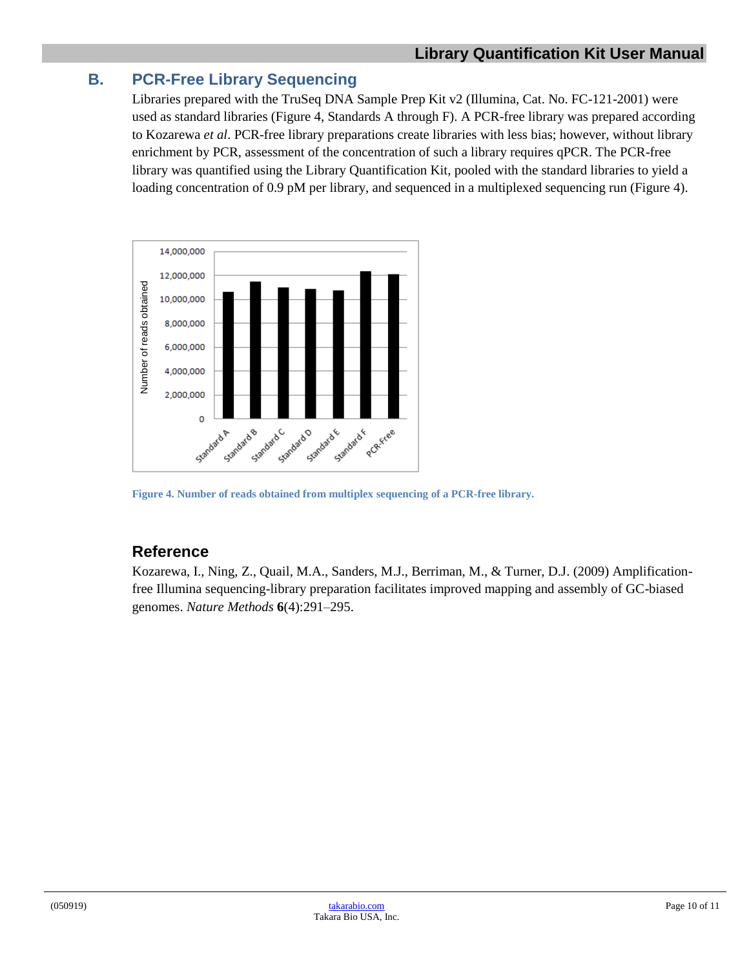## <span id="page-9-0"></span>**B. PCR-Free Library Sequencing**

Libraries prepared with the TruSeq DNA Sample Prep Kit v2 (Illumina, Cat. No. FC-121-2001) were used as standard libraries (Figure 4, Standards A through F). A PCR-free library was prepared according to Kozarewa *et al*. PCR-free library preparations create libraries with less bias; however, without library enrichment by PCR, assessment of the concentration of such a library requires qPCR. The PCR-free library was quantified using the Library Quantification Kit, pooled with the standard libraries to yield a loading concentration of 0.9 pM per library, and sequenced in a multiplexed sequencing run (Figure 4).



<span id="page-9-1"></span>**Figure 4. Number of reads obtained from multiplex sequencing of a PCR-free library.**

## **Reference**

Kozarewa, I., Ning, Z., Quail, M.A., Sanders, M.J., Berriman, M., & Turner, D.J. (2009) Amplificationfree Illumina sequencing-library preparation facilitates improved mapping and assembly of GC-biased